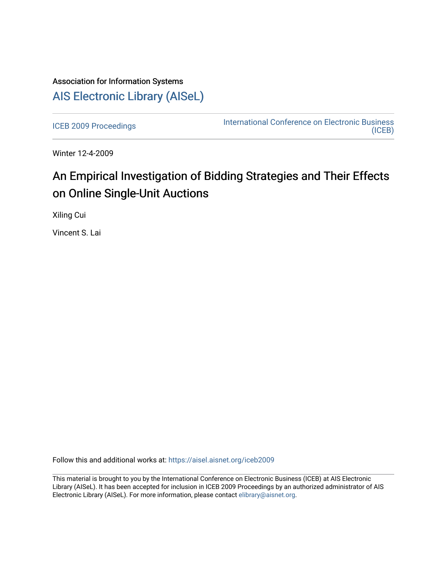# Association for Information Systems [AIS Electronic Library \(AISeL\)](https://aisel.aisnet.org/)

[ICEB 2009 Proceedings](https://aisel.aisnet.org/iceb2009) **International Conference on Electronic Business** [\(ICEB\)](https://aisel.aisnet.org/iceb) 

Winter 12-4-2009

# An Empirical Investigation of Bidding Strategies and Their Effects on Online Single-Unit Auctions

Xiling Cui

Vincent S. Lai

Follow this and additional works at: [https://aisel.aisnet.org/iceb2009](https://aisel.aisnet.org/iceb2009?utm_source=aisel.aisnet.org%2Ficeb2009%2F14&utm_medium=PDF&utm_campaign=PDFCoverPages)

This material is brought to you by the International Conference on Electronic Business (ICEB) at AIS Electronic Library (AISeL). It has been accepted for inclusion in ICEB 2009 Proceedings by an authorized administrator of AIS Electronic Library (AISeL). For more information, please contact [elibrary@aisnet.org.](mailto:elibrary@aisnet.org%3E)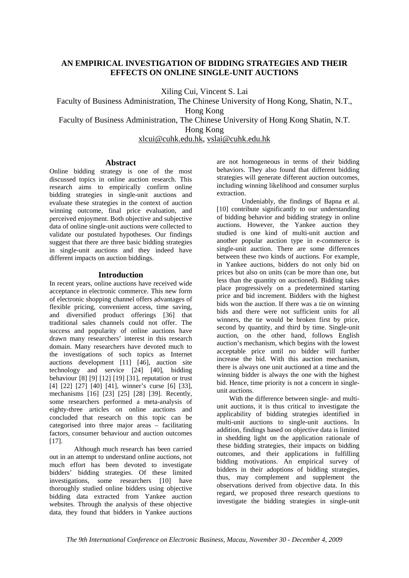# **AN EMPIRICAL INVESTIGATION OF BIDDING STRATEGIES AND THEIR EFFECTS ON ONLINE SINGLE-UNIT AUCTIONS**

Xiling Cui, Vincent S. Lai

Faculty of Business Administration, The Chinese University of Hong Kong, Shatin, N.T., Hong Kong Faculty of Business Administration, The Chinese University of Hong Kong Shatin, N.T. Hong Kong

xlcui@cuhk.edu.hk, vslai@cuhk.edu.hk

# **Abstract**

Online bidding strategy is one of the most discussed topics in online auction research. This research aims to empirically confirm online bidding strategies in single-unit auctions and evaluate these strategies in the context of auction winning outcome, final price evaluation, and perceived enjoyment. Both objective and subjective data of online single-unit auctions were collected to validate our postulated hypotheses. Our findings suggest that there are three basic bidding strategies in single-unit auctions and they indeed have different impacts on auction biddings.

# **Introduction**

In recent years, online auctions have received wide acceptance in electronic commerce. This new form of electronic shopping channel offers advantages of flexible pricing, convenient access, time saving, and diversified product offerings [36] that traditional sales channels could not offer. The success and popularity of online auctions have drawn many researchers' interest in this research domain. Many researchers have devoted much to the investigations of such topics as Internet auctions development [11] [46], auction site technology and service [24] [40], bidding behaviour [8] [9] [12] [19] [31], reputation or trust [4] [22] [27] [40] [41], winner's curse [6] [33], mechanisms [16] [23] [25] [28] [39]. Recently, some researchers performed a meta-analysis of eighty-three articles on online auctions and concluded that research on this topic can be categorised into three major areas – facilitating factors, consumer behaviour and auction outcomes [17].

Although much research has been carried out in an attempt to understand online auctions, not much effort has been devoted to investigate bidders' bidding strategies. Of these limited investigations, some researchers [10] have thoroughly studied online bidders using objective bidding data extracted from Yankee auction websites. Through the analysis of these objective data, they found that bidders in Yankee auctions are not homogeneous in terms of their bidding behaviors. They also found that different bidding strategies will generate different auction outcomes, including winning likelihood and consumer surplus extraction.

Undeniably, the findings of Bapna et al. [10] contribute significantly to our understanding of bidding behavior and bidding strategy in online auctions. However, the Yankee auction they studied is one kind of multi-unit auction and another popular auction type in e-commerce is single-unit auction. There are some differences between these two kinds of auctions. For example, in Yankee auctions, bidders do not only bid on prices but also on units (can be more than one, but less than the quantity on auctioned). Bidding takes place progressively on a predetermined starting price and bid increment. Bidders with the highest bids won the auction. If there was a tie on winning bids and there were not sufficient units for all winners, the tie would be broken first by price, second by quantity, and third by time. Single-unit auction, on the other hand, follows English auction's mechanism, which begins with the lowest acceptable price until no bidder will further increase the bid. With this auction mechanism, there is always one unit auctioned at a time and the winning bidder is always the one with the highest bid. Hence, time priority is not a concern in singleunit auctions.

With the difference between single- and multiunit auctions, it is thus critical to investigate the applicability of bidding strategies identified in multi-unit auctions to single-unit auctions. In addition, findings based on objective data is limited in shedding light on the application rationale of these bidding strategies, their impacts on bidding outcomes, and their applications in fulfilling bidding motivations. An empirical survey of bidders in their adoptions of bidding strategies, thus, may complement and supplement the observations derived from objective data. In this regard, we proposed three research questions to investigate the bidding strategies in single-unit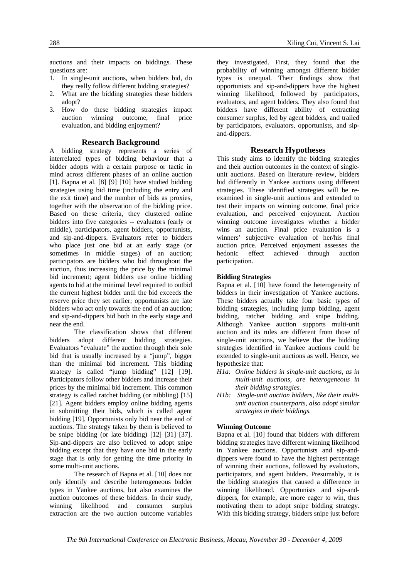auctions and their impacts on biddings. These questions are:

- 1. In single-unit auctions, when bidders bid, do they really follow different bidding strategies?
- 2. What are the bidding strategies these bidders adopt?
- 3. How do these bidding strategies impact auction winning outcome, final price evaluation, and bidding enjoyment?

#### **Research Background**

A bidding strategy represents a series of interrelated types of bidding behaviour that a bidder adopts with a certain purpose or tactic in mind across different phases of an online auction [1]. Bapna et al. [8] [9] [10] have studied bidding strategies using bid time (including the entry and the exit time) and the number of bids as proxies, together with the observation of the bidding price. Based on these criteria, they clustered online bidders into five categories -- evaluators (early or middle), participators, agent bidders, opportunists, and sip-and-dippers. Evaluators refer to bidders who place just one bid at an early stage (or sometimes in middle stages) of an auction; participators are bidders who bid throughout the auction, thus increasing the price by the minimal bid increment; agent bidders use online bidding agents to bid at the minimal level required to outbid the current highest bidder until the bid exceeds the reserve price they set earlier; opportunists are late bidders who act only towards the end of an auction; and sip-and-dippers bid both in the early stage and near the end.

The classification shows that different bidders adopt different bidding strategies. Evaluators "evaluate" the auction through their sole bid that is usually increased by a "jump", bigger than the minimal bid increment. This bidding strategy is called "jump bidding" [12] [19]. Participators follow other bidders and increase their prices by the minimal bid increment. This common strategy is called ratchet bidding (or nibbling) [15] [21]. Agent bidders employ online bidding agents in submitting their bids, which is called agent bidding [19]. Opportunists only bid near the end of auctions. The strategy taken by them is believed to be snipe bidding (or late bidding) [12] [31] [37]. Sip-and-dippers are also believed to adopt snipe bidding except that they have one bid in the early stage that is only for getting the time priority in some multi-unit auctions.

The research of Bapna et al. [10] does not only identify and describe heterogeneous bidder types in Yankee auctions, but also examines the auction outcomes of these bidders. In their study, winning likelihood and consumer surplus extraction are the two auction outcome variables

they investigated. First, they found that the probability of winning amongst different bidder types is unequal. Their findings show that opportunists and sip-and-dippers have the highest winning likelihood, followed by participators, evaluators, and agent bidders. They also found that bidders have different ability of extracting consumer surplus, led by agent bidders, and trailed by participators, evaluators, opportunists, and sipand-dippers.

#### **Research Hypotheses**

This study aims to identify the bidding strategies and their auction outcomes in the context of singleunit auctions. Based on literature review, bidders bid differently in Yankee auctions using different strategies. These identified strategies will be reexamined in single-unit auctions and extended to test their impacts on winning outcome, final price evaluation, and perceived enjoyment. Auction winning outcome investigates whether a bidder wins an auction. Final price evaluation is a winners' subjective evaluation of her/his final auction price. Perceived enjoyment assesses the hedonic effect achieved through auction participation.

#### **Bidding Strategies**

Bapna et al. [10] have found the heterogeneity of bidders in their investigation of Yankee auctions. These bidders actually take four basic types of bidding strategies, including jump bidding, agent bidding, ratchet bidding and snipe bidding. Although Yankee auction supports multi-unit auction and its rules are different from those of single-unit auctions, we believe that the bidding strategies identified in Yankee auctions could be extended to single-unit auctions as well. Hence, we hypothesize that:

- *H1a: Online bidders in single-unit auctions, as in multi-unit auctions, are heterogeneous in their bidding strategies.*
- *H1b: Single-unit auction bidders, like their multiunit auction counterparts, also adopt similar strategies in their biddings.*

#### **Winning Outcome**

Bapna et al. [10] found that bidders with different bidding strategies have different winning likelihood in Yankee auctions. Opportunists and sip-anddippers were found to have the highest percentage of winning their auctions, followed by evaluators, participators, and agent bidders. Presumably, it is the bidding strategies that caused a difference in winning likelihood. Opportunists and sip-anddippers, for example, are more eager to win, thus motivating them to adopt snipe bidding strategy. With this bidding strategy, bidders snipe just before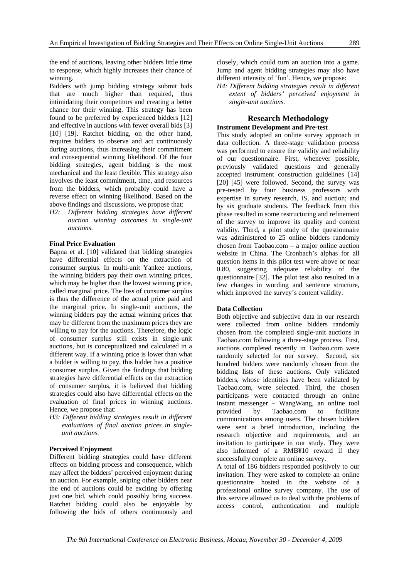the end of auctions, leaving other bidders little time to response, which highly increases their chance of winning.

Bidders with jump bidding strategy submit bids that are much higher than required, thus intimidating their competitors and creating a better chance for their winning. This strategy has been found to be preferred by experienced bidders [12] and effective in auctions with fewer overall bids [3] [10] [19]. Ratchet bidding, on the other hand, requires bidders to observe and act continuously during auctions, thus increasing their commitment and consequential winning likelihood. Of the four bidding strategies, agent bidding is the most mechanical and the least flexible. This strategy also involves the least commitment, time, and resources from the bidders, which probably could have a reverse effect on winning likelihood. Based on the above findings and discussions, we propose that:

*H2: Different bidding strategies have different auction winning outcomes in single-unit auctions.* 

# **Final Price Evaluation**

Bapna et al. [10] validated that bidding strategies have differential effects on the extraction of consumer surplus. In multi-unit Yankee auctions, the winning bidders pay their own winning prices, which may be higher than the lowest winning price, called marginal price. The loss of consumer surplus is thus the difference of the actual price paid and the marginal price. In single-unit auctions, the winning bidders pay the actual winning prices that may be different from the maximum prices they are willing to pay for the auctions. Therefore, the logic of consumer surplus still exists in single-unit auctions, but is conceptualized and calculated in a different way. If a winning price is lower than what a bidder is willing to pay, this bidder has a positive consumer surplus. Given the findings that bidding strategies have differential effects on the extraction of consumer surplus, it is believed that bidding strategies could also have differential effects on the evaluation of final prices in winning auctions. Hence, we propose that:

*H3: Different bidding strategies result in different evaluations of final auction prices in singleunit auctions.* 

### **Perceived Enjoyment**

Different bidding strategies could have different effects on bidding process and consequence, which may affect the bidders' perceived enjoyment during an auction. For example, sniping other bidders near the end of auctions could be exciting by offering just one bid, which could possibly bring success. Ratchet bidding could also be enjoyable by following the bids of others continuously and closely, which could turn an auction into a game. Jump and agent bidding strategies may also have different intensity of 'fun'. Hence, we propose:

*H4: Different bidding strategies result in different extent of bidders' perceived enjoyment in single-unit auctions.* 

#### **Research Methodology Instrument Development and Pre-test**

This study adopted an online survey approach in data collection. A three-stage validation process was performed to ensure the validity and reliability of our questionnaire. First, whenever possible, previously validated questions and generally accepted instrument construction guidelines [14] [20] [45] were followed. Second, the survey was pre-tested by four business professors with expertise in survey research, IS, and auction; and by six graduate students. The feedback from this phase resulted in some restructuring and refinement of the survey to improve its quality and content validity. Third, a pilot study of the questionnaire was administered to 25 online bidders randomly chosen from Taobao.com – a major online auction website in China. The Cronbach's alphas for all question items in this pilot test were above or near 0.80, suggesting adequate reliability of the questionnaire [32]. The pilot test also resulted in a few changes in wording and sentence structure, which improved the survey's content validity.

#### **Data Collection**

Both objective and subjective data in our research were collected from online bidders randomly chosen from the completed single-unit auctions in Taobao.com following a three-stage process. First, auctions completed recently in Taobao.com were randomly selected for our survey. Second, six hundred bidders were randomly chosen from the bidding lists of these auctions. Only validated bidders, whose identities have been validated by Taobao.com, were selected. Third, the chosen participants were contacted through an online instant messenger – WangWang, an online tool provided by Taobao.com to facilitate communications among users. The chosen bidders were sent a brief introduction, including the research objective and requirements, and an invitation to participate in our study. They were also informed of a RMB¥10 reward if they successfully complete an online survey.

A total of 186 bidders responded positively to our invitation. They were asked to complete an online questionnaire hosted in the website of a professional online survey company. The use of this service allowed us to deal with the problems of access control, authentication and multiple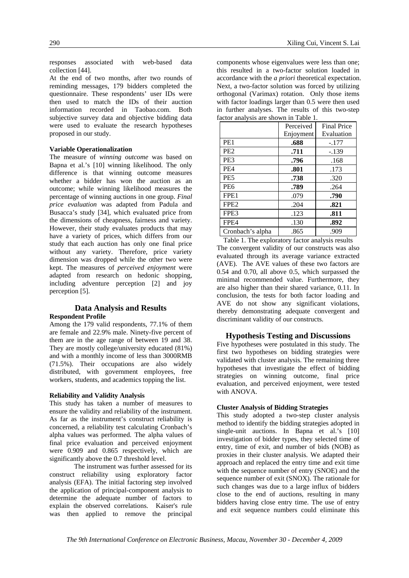responses associated with web-based data collection [44].

At the end of two months, after two rounds of reminding messages, 179 bidders completed the questionnaire. These respondents' user IDs were then used to match the IDs of their auction information recorded in Taobao.com. Both subjective survey data and objective bidding data were used to evaluate the research hypotheses proposed in our study.

#### **Variable Operationalization**

The measure of *winning outcome* was based on Bapna et al.'s [10] winning likelihood. The only difference is that winning outcome measures whether a bidder has won the auction as an outcome; while winning likelihood measures the percentage of winning auctions in one group. *Final price evaluation* was adapted from Padula and Busacca's study [34], which evaluated price from the dimensions of cheapness, fairness and variety. However, their study evaluates products that may have a variety of prices, which differs from our study that each auction has only one final price without any variety. Therefore, price variety dimension was dropped while the other two were kept. The measures of *perceived enjoyment* were adapted from research on hedonic shopping, including adventure perception [2] and joy perception [5].

# **Data Analysis and Results Respondent Profile**

Among the 179 valid respondents, 77.1% of them are female and 22.9% male. Ninety-five percent of them are in the age range of between 19 and 38. They are mostly college/university educated (81%) and with a monthly income of less than 3000RMB (71.5%). Their occupations are also widely distributed, with government employees, free workers, students, and academics topping the list.

#### **Reliability and Validity Analysis**

This study has taken a number of measures to ensure the validity and reliability of the instrument. As far as the instrument's construct reliability is concerned, a reliability test calculating Cronbach's alpha values was performed. The alpha values of final price evaluation and perceived enjoyment were 0.909 and 0.865 respectively, which are significantly above the 0.7 threshold level.

The instrument was further assessed for its construct reliability using exploratory factor analysis (EFA). The initial factoring step involved the application of principal-component analysis to determine the adequate number of factors to explain the observed correlations. Kaiser's rule was then applied to remove the principal components whose eigenvalues were less than one; this resulted in a two-factor solution loaded in accordance with the *a priori* theoretical expectation. Next, a two-factor solution was forced by utilizing orthogonal (Varimax) rotation. Only those items with factor loadings larger than 0.5 were then used in further analyses. The results of this two-step factor analysis are shown in Table 1.

|                  | Perceived | <b>Final Price</b> |
|------------------|-----------|--------------------|
|                  | Enjoyment | Evaluation         |
| PE <sub>1</sub>  | .688      | $-.177$            |
| PE <sub>2</sub>  | .711      | $-.139$            |
| PE3              | .796      | .168               |
| PE4              | .801      | .173               |
| PE <sub>5</sub>  | .738      | .320               |
| PE <sub>6</sub>  | .789      | .264               |
| FPE <sub>1</sub> | .079      | .790               |
| FPE <sub>2</sub> | .204      | .821               |
| FPE3             | .123      | .811               |
| FPE4             | .130      | .892               |
| Cronbach's alpha | .865      | .909               |

Table 1. The exploratory factor analysis results The convergent validity of our constructs was also evaluated through its average variance extracted (AVE). The AVE values of these two factors are 0.54 and 0.70, all above 0.5, which surpassed the minimal recommended value. Furthermore, they are also higher than their shared variance, 0.11. In conclusion, the tests for both factor loading and AVE do not show any significant violations, thereby demonstrating adequate convergent and discriminant validity of our constructs.

# **Hypothesis Testing and Discussions**

Five hypotheses were postulated in this study. The first two hypotheses on bidding strategies were validated with cluster analysis. The remaining three hypotheses that investigate the effect of bidding strategies on winning outcome, final price evaluation, and perceived enjoyment, were tested with ANOVA.

#### **Cluster Analysis of Bidding Strategies**

This study adopted a two-step cluster analysis method to identify the bidding strategies adopted in single-unit auctions. In Bapna et al.'s [10] investigation of bidder types, they selected time of entry, time of exit, and number of bids (NOB) as proxies in their cluster analysis. We adapted their approach and replaced the entry time and exit time with the sequence number of entry (SNOE) and the sequence number of exit (SNOX). The rationale for such changes was due to a large influx of bidders close to the end of auctions, resulting in many bidders having close entry time. The use of entry and exit sequence numbers could eliminate this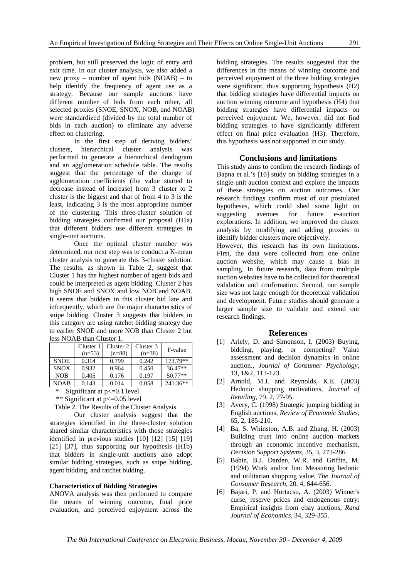problem, but still preserved the logic of entry and exit time. In our cluster analysis, we also added a new proxy – number of agent bids (NOAB) – to help identify the frequency of agent use as a strategy. Because our sample auctions have different number of bids from each other, all selected proxies (SNOE, SNOX, NOB, and NOAB) were standardized (divided by the total number of bids in each auction) to eliminate any adverse effect on clustering.

In the first step of deriving bidders' clusters, hierarchical cluster analysis was performed to generate a hierarchical dendogram and an agglomeration schedule table. The results suggest that the percentage of the change of agglomeration coefficients (the value started to decrease instead of increase) from 3 cluster to 2 cluster is the biggest and that of from 4 to 3 is the least, indicating 3 is the most appropriate number of the clustering. This three-cluster solution of bidding strategies confirmed our proposal (H1a) that different bidders use different strategies in single-unit auctions.

Once the optimal cluster number was determined, our next step was to conduct a K-mean cluster analysis to generate this 3-cluster solution. The results, as shown in Table 2, suggest that Cluster 1 has the highest number of agent bids and could be interpreted as agent bidding. Cluster 2 has high SNOE and SNOX and low NOB and NOAB. It seems that bidders in this cluster bid late and infrequently, which are the major characteristics of snipe bidding. Cluster 3 suggests that bidders in this category are using ratchet bidding strategy due to earlier SNOE and more NOB than Cluster 2 but less NOAB than Cluster 1.

|             | Cluster 1 | Cluster 2 | Cluster 3 | F-value   |
|-------------|-----------|-----------|-----------|-----------|
|             | $(n=53)$  | $(n=88)$  | $(n=38)$  |           |
| <b>SNOE</b> | 0.314     | 0.799     | 0.242     | 173.79**  |
| <b>SNOX</b> | 0.932     | 0.964     | 0.450     | $36.47**$ |
| <b>NOB</b>  | 0.405     | 0.176     | 0.197     | $50.77**$ |
| <b>NOAB</b> | 0.143     | 0.014     | 0.058     | 241.36**  |

\* Significant at p<=0.1 level

\*\* Significant at p<=0.05 level

Table 2. The Results of the Cluster Analysis

Our cluster analysis suggest that the strategies identified in the three-cluster solution shared similar characteristics with those strategies identified in previous studies [10] [12] [15] [19] [21] [37], thus supporting our hypothesis (H1b) that bidders in single-unit auctions also adopt similar bidding strategies, such as snipe bidding, agent bidding, and ratchet bidding.

# **Characteristics of Bidding Strategies**

ANOVA analysis was then performed to compare the means of winning outcome, final price evaluation, and perceived enjoyment across the

bidding strategies. The results suggested that the differences in the means of winning outcome and perceived enjoyment of the three bidding strategies were significant, thus supporting hypothesis (H2) that bidding strategies have differential impacts on auction winning outcome and hypothesis (H4) that bidding strategies have differential impacts on perceived enjoyment. We, however, did not find bidding strategies to have significantly different effect on final price evaluation (H3). Therefore, this hypothesis was not supported in our study.

#### **Conclusions and limitations**

This study aims to confirm the research findings of Bapna et al.'s [10] study on bidding strategies in a single-unit auction context and explore the impacts of these strategies on auction outcomes. Our research findings confirm most of our postulated hypotheses, which could shed some light on suggesting avenues for future e-auction explorations. In addition, we improved the cluster analysis by modifying and adding proxies to identify bidder clusters more objectively.

However, this research has its own limitations. First, the data were collected from one online auction website, which may cause a bias in sampling. In future research, data from multiple auction websites have to be collected for theoretical validation and confirmation. Second, our sample size was not large enough for theoretical validation and development. Future studies should generate a larger sample size to validate and extend our research findings.

#### **References**

- [1] Ariely, D. and Simonson, I. (2003) Buying, bidding, playing, or competing? Value assessment and decision dynamics in online auction., *Journal of Consumer Psychology*, 13, 1&2, 113-123.
- [2] Arnold, M.J. and Reynolds, K.E. (2003) Hedonic shopping motivations, *Journal of Retailing*, 79, 2, 77-95.
- [3] Avery, C. (1998) Strategic jumping bidding in English auctions, *Review of Economic Studies*, 65, 2, 185-210.
- [4] Ba, S. Whinston, A.B. and Zhang, H. (2003) Building trust into online auction markets through an economic incentive mechanism, *Decision Support Systems*, 35, 3, 273-286.
- [5] Babin, B.J. Darden, W.R. and Griffin, M. (1994) Work and/or fun: Measuring hedonic and utilitarian shopping value, *The Journal of Consumer Research*, 20, 4, 644-656.
- [6] Bajari, P. and Hortacsu, A. (2003) Winner's curse, reserve prices and endogenous entry: Empirical insights from ebay auctions, *Rand Journal of Economics*, 34, 329-355.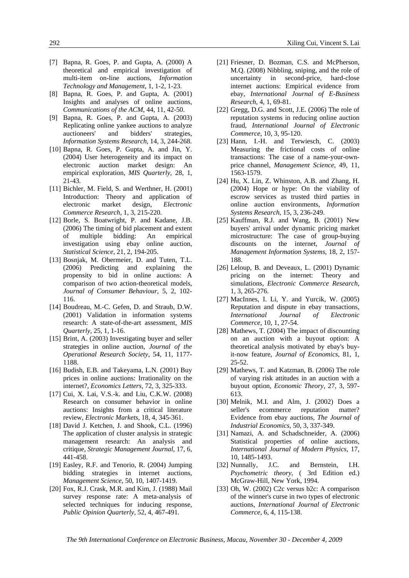- [7] Bapna, R. Goes, P. and Gupta, A. (2000) A theoretical and empirical investigation of multi-item on-line auctions, *Information Technology and Management*, 1, 1-2, 1-23.
- [8] Bapna, R. Goes, P. and Gupta, A. (2001) Insights and analyses of online auctions, *Communications of the ACM*, 44, 11, 42-50.
- [9] Bapna, R. Goes, P. and Gupta, A. (2003) Replicating online yankee auctions to analyze auctioneers' and bidders' strategies, *Information Systems Research*, 14, 3, 244-268.
- [10] Bapna, R. Goes, P. Gupta, A. and Jin, Y. (2004) User heterogeneity and its impact on electronic auction market design: An empirical exploration, *MIS Quarterly*, 28, 1, 21-43.
- [11] Bichler, M. Field, S. and Werthner, H. (2001) Introduction: Theory and application of electronic market design, *Electronic Commerce Research*, 1, 3, 215-220.
- [12] Borle, S. Boatwright, P. and Kadane, J.B. (2006) The timing of bid placement and extent of multiple bidding: An empirical investigation using ebay online auction, *Statistical Science*, 21, 2, 194-205.
- [13] Bosnjak, M. Obermeier, D. and Tuten, T.L. (2006) Predicting and explaining the propensity to bid in online auctions: A comparison of two action-theoretical models, *Journal of Consumer Behaviour*, 5, 2, 102- 116.
- [14] Boudreau, M.-C. Gefen, D. and Straub, D.W. (2001) Validation in information systems research: A state-of-the-art assessment, *MIS Quarterly*, 25, 1, 1-16.
- [15] Brint, A. (2003) Investigating buyer and seller strategies in online auction, *Journal of the Operational Research Society*, 54, 11, 1177- 1188.
- [16] Budish, E.B. and Takeyama, L.N. (2001) Buy prices in online auctions: Irrationality on the internet?, *Economics Letters*, 72, 3, 325-333.
- [17] Cui, X. Lai, V.S.-k. and Liu, C.K.W. (2008) Research on consumer behavior in online auctions: Insights from a critical literature review, *Electronic Markets*, 18, 4, 345-361.
- [18] David J. Ketchen, J. and Shook, C.L. (1996) The application of cluster analysis in strategic management research: An analysis and critique, *Strategic Management Journal*, 17, 6, 441-458.
- [19] Easley, R.F. and Tenorio, R. (2004) Jumping bidding strategies in internet auctions, *Management Science*, 50, 10, 1407-1419.
- [20] Fox, R.J. Crask, M.R. and Kim, J. (1988) Mail survey response rate: A meta-analysis of selected techniques for inducing response, *Public Opinion Quarterly*, 52, 4, 467-491.
- [21] Friesner, D. Bozman, C.S. and McPherson, M.Q. (2008) Nibbling, sniping, and the role of uncertainty in second-price, hard-close internet auctions: Empirical evidence from ebay, *International Journal of E-Business Research*, 4, 1, 69-81.
- [22] Gregg, D.G. and Scott, J.E. (2006) The role of reputation systems in reducing online auction fraud, *International Journal of Electronic Commerce*, 10, 3, 95-120.
- [23] Hann, I.-H. and Terwiesch, C. (2003) Measuring the frictional costs of online transactions: The case of a name-your-ownprice channel, *Management Science*, 49, 11, 1563-1579.
- [24] Hu, X. Lin, Z. Whinston, A.B. and Zhang, H. (2004) Hope or hype: On the viability of escrow services as trusted third parties in online auction environments, *Information Systems Research*, 15, 3, 236-249.
- [25] Kauffman, R.J. and Wang, B. (2001) New buyers' arrival under dynamic pricing market microstructure: The case of group-buying discounts on the internet, *Journal of Management Information Systems*, 18, 2, 157- 188.
- [26] Leloup, B. and Deveaux, L. (2001) Dynamic pricing on the internet: Theory and simulations, *Electronic Commerce Research*, 1, 3, 265-276.
- [27] MacInnes, I. Li, Y. and Yurcik, W. (2005) Reputation and dispute in ebay transactions, *International Journal of Electronic Commerce*, 10, 1, 27-54.
- [28] Mathews, T. (2004) The impact of discounting on an auction with a buyout option: A theoretical analysis motivated by ebay's buyit-now feature, *Journal of Economics*, 81, 1, 25-52.
- [29] Mathews, T. and Katzman, B. (2006) The role of varying risk attitudes in an auction with a buyout option, *Economic Theory*, 27, 3, 597- 613.
- [30] Melnik, M.I. and Alm, J. (2002) Does a seller's ecommerce reputation matter? Evidence from ebay auctions, *The Journal of Industrial Economics*, 50, 3, 337-349.
- [31] Namazi, A. and Schadschneider, A. (2006) Statistical properties of online auctions, *International Journal of Modern Physics*, 17, 10, 1485-1493.
- [32] Nunnally, J.C. and Bernstein, I.H. *Psychometric theory*, ( 3rd Edition ed.) McGraw-Hill, New York, 1994.
- [33] Oh, W. (2002) C2c versus b2c: A comparison of the winner's curse in two types of electronic auctions, *International Journal of Electronic Commerce*, 6, 4, 115-138.